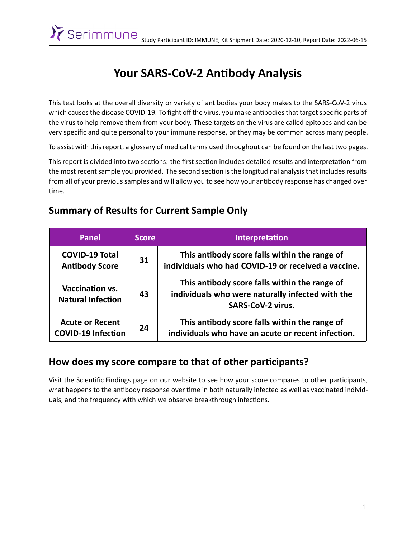# **Your SARS-CoV-2 AnƟbody Analysis**

This test looks at the overall diversity or variety of antibodies your body makes to the SARS-CoV-2 virus which causes the disease COVID-19. To fight off the virus, you make antibodies that target specific parts of the virus to help remove them from your body. These targets on the virus are called epitopes and can be very specific and quite personal to your immune response, or they may be common across many people.

To assist with this report, a glossary of medical terms used throughout can be found on the last two pages.

This report is divided into two sections: the first section includes detailed results and interpretation from the most recent sample you provided. The second section is the longitudinal analysis that includes results from all of your previous samples and will allow you to see how your antibody response has changed over time.

#### **Summary of Results for Current Sample Only**

| Panel                                               | <b>Score</b> | <b>Interpretation</b>                                                                                                         |
|-----------------------------------------------------|--------------|-------------------------------------------------------------------------------------------------------------------------------|
| <b>COVID-19 Total</b><br><b>Antibody Score</b>      | 31           | This antibody score falls within the range of<br>individuals who had COVID-19 or received a vaccine.                          |
| <b>Vaccination vs.</b><br><b>Natural Infection</b>  | 43           | This antibody score falls within the range of<br>individuals who were naturally infected with the<br><b>SARS-CoV-2 virus.</b> |
| <b>Acute or Recent</b><br><b>COVID-19 Infection</b> | 24           | This antibody score falls within the range of<br>individuals who have an acute or recent infection.                           |

#### How does my score compare to that of other participants?

Visit the Scientific Findings page on our website to see how your score compares to other participants, what happens to the antibody response over time in both naturally infected as well as vaccinated individuals, and the frequency with which we observe breakthrough infections.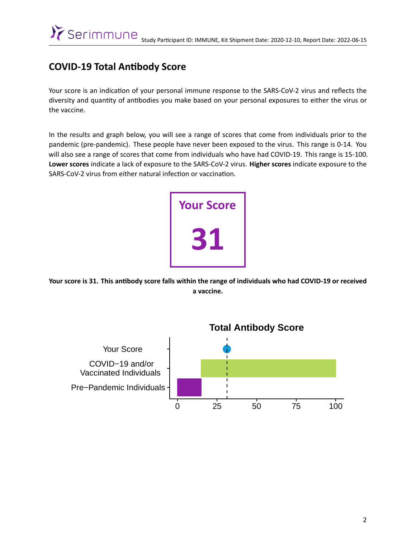## **COVID-19 Total AnƟbody Score**

Your score is an indication of your personal immune response to the SARS-CoV-2 virus and reflects the diversity and quantity of antibodies you make based on your personal exposures to either the virus or the vaccine.

In the results and graph below, you will see a range of scores that come from individuals prior to the pandemic (pre-pandemic). These people have never been exposed to the virus. This range is 0-14. You will also see a range of scores that come from individuals who have had COVID-19. This range is 15-100. **Lower scores** indicate a lack of exposure to the SARS-CoV-2 virus. **Higher scores** indicate exposure to the SARS-CoV-2 virus from either natural infection or vaccination.



Your score is 31. This antibody score falls within the range of individuals who had COVID-19 or received **a vaccine.**

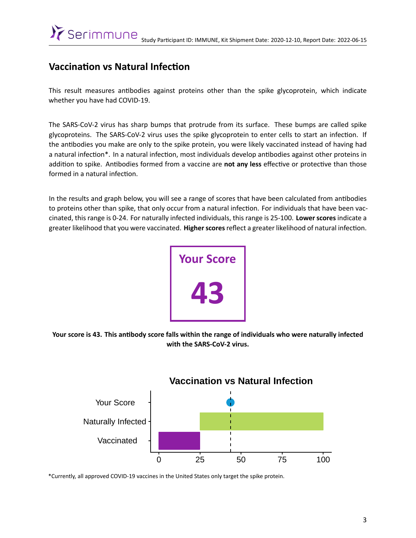### **Vaccination vs Natural Infection**

This result measures antibodies against proteins other than the spike glycoprotein, which indicate whether you have had COVID-19.

The SARS-CoV-2 virus has sharp bumps that protrude from its surface. These bumps are called spike glycoproteins. The SARS-CoV-2 virus uses the spike glycoprotein to enter cells to start an infection. If the anƟbodies you make are only to the spike protein, you were likely vaccinated instead of having had a natural infection\*. In a natural infection, most individuals develop antibodies against other proteins in addition to spike. Antibodies formed from a vaccine are not any less effective or protective than those formed in a natural infection.

In the results and graph below, you will see a range of scores that have been calculated from antibodies to proteins other than spike, that only occur from a natural infection. For individuals that have been vaccinated, this range is 0-24. For naturally infected individuals, this range is 25-100. **Lower scores** indicate a greater likelihood that you were vaccinated. Higher scores reflect a greater likelihood of natural infection.



Your score is 43. This antibody score falls within the range of individuals who were naturally infected **with the SARS-CoV-2 virus.**



\*Currently, all approved COVID-19 vaccines in the United States only target the spike protein.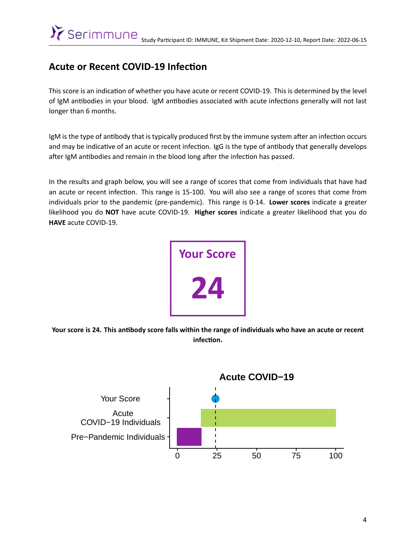## **Acute or Recent COVID-19 Infection**

This score is an indication of whether you have acute or recent COVID-19. This is determined by the level of IgM antibodies in your blood. IgM antibodies associated with acute infections generally will not last longer than 6 months.

IgM is the type of antibody that is typically produced first by the immune system after an infection occurs and may be indicative of an acute or recent infection. IgG is the type of antibody that generally develops after IgM antibodies and remain in the blood long after the infection has passed.

In the results and graph below, you will see a range of scores that come from individuals that have had an acute or recent infection. This range is 15-100. You will also see a range of scores that come from individuals prior to the pandemic (pre-pandemic). This range is 0-14. **Lower scores** indicate a greater likelihood you do **NOT** have acute COVID-19. **Higher scores** indicate a greater likelihood that you do **HAVE** acute COVID-19.



Your score is 24. This antibody score falls within the range of individuals who have an acute or recent **infecƟon.**

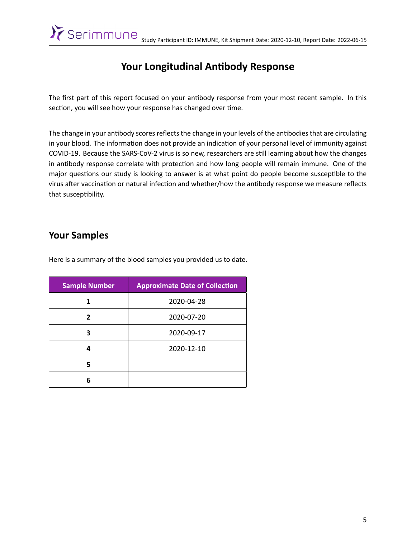# Your Longitudinal Antibody Response

The first part of this report focused on your antibody response from your most recent sample. In this section, you will see how your response has changed over time.

The change in your antibody scores reflects the change in your levels of the antibodies that are circulating in your blood. The information does not provide an indication of your personal level of immunity against COVID-19. Because the SARS-CoV-2 virus is so new, researchers are still learning about how the changes in antibody response correlate with protection and how long people will remain immune. One of the major questions our study is looking to answer is at what point do people become susceptible to the virus after vaccination or natural infection and whether/how the antibody response we measure reflects that susceptibility.

#### **Your Samples**

Here is a summary of the blood samples you provided us to date.

| <b>Sample Number</b> | <b>Approximate Date of Collection</b> |
|----------------------|---------------------------------------|
|                      | 2020-04-28                            |
| 2                    | 2020-07-20                            |
| 3                    | 2020-09-17                            |
| 4                    | 2020-12-10                            |
| 5                    |                                       |
| հ                    |                                       |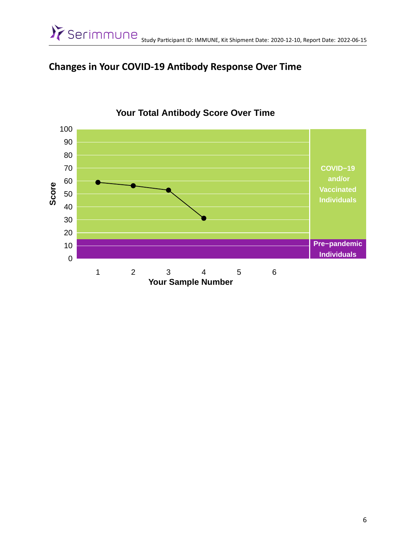## **Changes in Your COVID-19 AnƟbody Response Over Time**



#### **Your Total Antibody Score Over Time**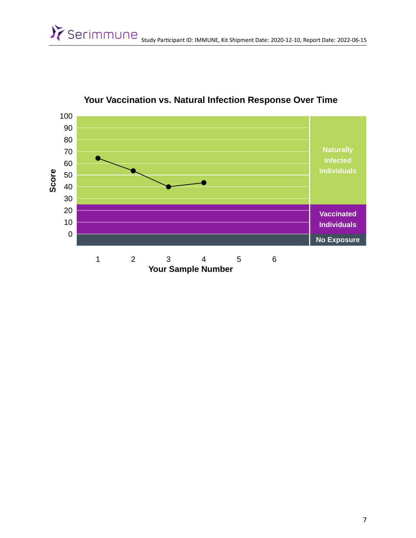

**Your Vaccination vs. Natural Infection Response Over Time**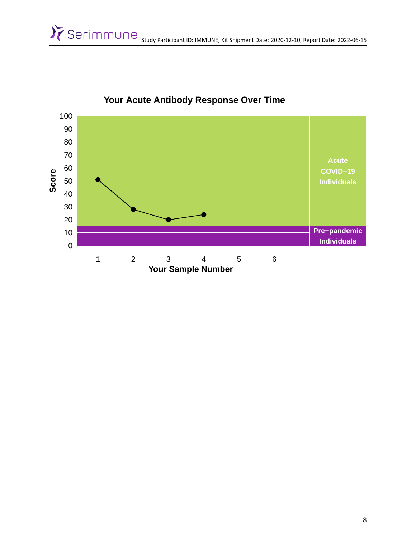

**Your Acute Antibody Response Over Time**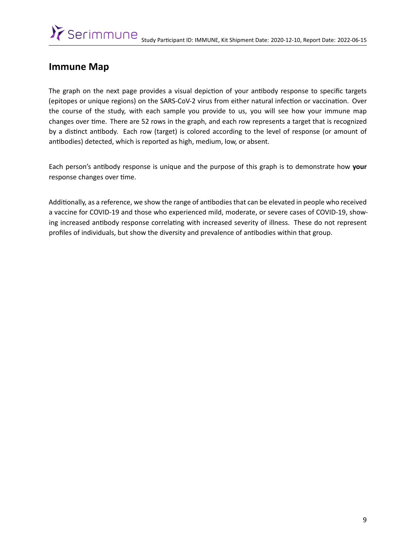#### **Immune Map**

The graph on the next page provides a visual depiction of your antibody response to specific targets (epitopes or unique regions) on the SARS-CoV-2 virus from either natural infection or vaccination. Over the course of the study, with each sample you provide to us, you will see how your immune map changes over time. There are 52 rows in the graph, and each row represents a target that is recognized by a distinct antibody. Each row (target) is colored according to the level of response (or amount of antibodies) detected, which is reported as high, medium, low, or absent.

Each person's anƟbody response is unique and the purpose of this graph is to demonstrate how **your** response changes over time.

Additionally, as a reference, we show the range of antibodies that can be elevated in people who received a vaccine for COVID-19 and those who experienced mild, moderate, or severe cases of COVID-19, showing increased antibody response correlating with increased severity of illness. These do not represent profiles of individuals, but show the diversity and prevalence of antibodies within that group.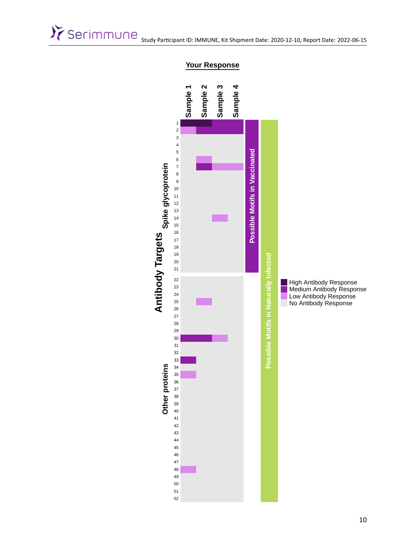# Serimmune Study Participant ID: IMMUNE, Kit Shipment Date: 2020-12-10, Report Date: 2022-06-15



#### **Your Response**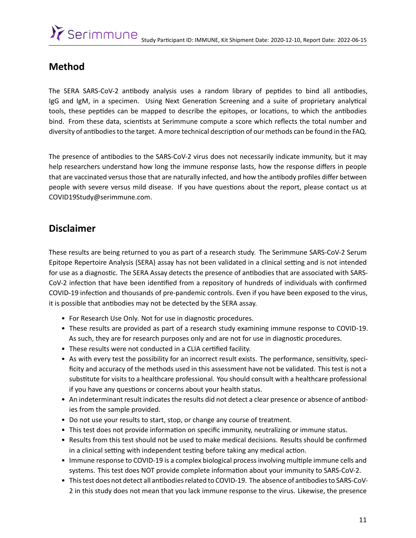## **Method**

The SERA SARS-CoV-2 antibody analysis uses a random library of peptides to bind all antibodies, IgG and IgM, in a specimen. Using Next Generation Screening and a suite of proprietary analytical tools, these peptides can be mapped to describe the epitopes, or locations, to which the antibodies bind. From these data, scientists at Serimmune compute a score which reflects the total number and diversity of antibodies to the target. A more technical description of our methods can be found in the FAQ.

The presence of antibodies to the SARS-CoV-2 virus does not necessarily indicate immunity, but it may help researchers understand how long the immune response lasts, how the response differs in people that are vaccinated versus those that are naturally infected, and how the antibody profiles differ between people with severe versus mild disease. If you have questions about the report, please contact us at [COVID19Study@serimmune.com](mailto:COVID19Study@serimmune.com).

#### **Disclaimer**

These results are being returned to you as part of a research study. The Serimmune SARS-CoV-2 Serum Epitope Repertoire Analysis (SERA) assay has not been validated in a clinical setting and is not intended for use as a diagnostic. The SERA Assay detects the presence of antibodies that are associated with SARS-CoV-2 infection that have been identified from a repository of hundreds of individuals with confirmed COVID-19 infection and thousands of pre-pandemic controls. Even if you have been exposed to the virus, it is possible that antibodies may not be detected by the SERA assay.

- For Research Use Only. Not for use in diagnostic procedures.
- These results are provided as part of a research study examining immune response to COVID-19. As such, they are for research purposes only and are not for use in diagnostic procedures.
- These results were not conducted in a CLIA certified facility.
- As with every test the possibility for an incorrect result exists. The performance, sensitivity, specificity and accuracy of the methods used in this assessment have not be validated. This test is not a substitute for visits to a healthcare professional. You should consult with a healthcare professional if you have any questions or concerns about your health status.
- An indeterminant result indicates the results did not detect a clear presence or absence of antibodies from the sample provided.
- Do not use your results to start, stop, or change any course of treatment.
- This test does not provide information on specific immunity, neutralizing or immune status.
- Results from this test should not be used to make medical decisions. Results should be confirmed in a clinical setting with independent testing before taking any medical action.
- Immune response to COVID-19 is a complex biological process involving multiple immune cells and systems. This test does NOT provide complete information about your immunity to SARS-CoV-2.
- This test does not detect all antibodies related to COVID-19. The absence of antibodies to SARS-CoV-2 in this study does not mean that you lack immune response to the virus. Likewise, the presence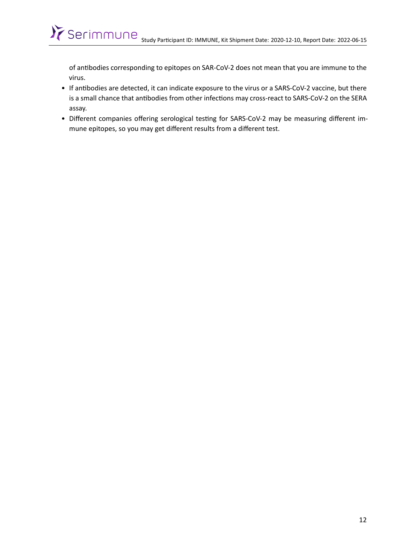of antibodies corresponding to epitopes on SAR-CoV-2 does not mean that you are immune to the virus.

- If antibodies are detected, it can indicate exposure to the virus or a SARS-CoV-2 vaccine, but there is a small chance that antibodies from other infections may cross-react to SARS-CoV-2 on the SERA assay.
- Different companies offering serological testing for SARS-CoV-2 may be measuring different immune epitopes, so you may get different results from a different test.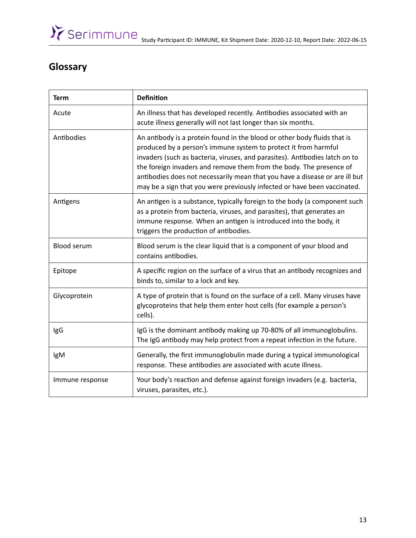# **Glossary**

| <b>Term</b>        | <b>Definition</b>                                                                                                                                                                                                                                                                                                                                                                                                                                            |
|--------------------|--------------------------------------------------------------------------------------------------------------------------------------------------------------------------------------------------------------------------------------------------------------------------------------------------------------------------------------------------------------------------------------------------------------------------------------------------------------|
| Acute              | An illness that has developed recently. Antibodies associated with an<br>acute illness generally will not last longer than six months.                                                                                                                                                                                                                                                                                                                       |
| Antibodies         | An antibody is a protein found in the blood or other body fluids that is<br>produced by a person's immune system to protect it from harmful<br>invaders (such as bacteria, viruses, and parasites). Antibodies latch on to<br>the foreign invaders and remove them from the body. The presence of<br>antibodies does not necessarily mean that you have a disease or are ill but<br>may be a sign that you were previously infected or have been vaccinated. |
| Antigens           | An antigen is a substance, typically foreign to the body (a component such<br>as a protein from bacteria, viruses, and parasites), that generates an<br>immune response. When an antigen is introduced into the body, it<br>triggers the production of antibodies.                                                                                                                                                                                           |
| <b>Blood serum</b> | Blood serum is the clear liquid that is a component of your blood and<br>contains antibodies.                                                                                                                                                                                                                                                                                                                                                                |
| Epitope            | A specific region on the surface of a virus that an antibody recognizes and<br>binds to, similar to a lock and key.                                                                                                                                                                                                                                                                                                                                          |
| Glycoprotein       | A type of protein that is found on the surface of a cell. Many viruses have<br>glycoproteins that help them enter host cells (for example a person's<br>cells).                                                                                                                                                                                                                                                                                              |
| IgG                | IgG is the dominant antibody making up 70-80% of all immunoglobulins.<br>The IgG antibody may help protect from a repeat infection in the future.                                                                                                                                                                                                                                                                                                            |
| IgM                | Generally, the first immunoglobulin made during a typical immunological<br>response. These antibodies are associated with acute illness.                                                                                                                                                                                                                                                                                                                     |
| Immune response    | Your body's reaction and defense against foreign invaders (e.g. bacteria,<br>viruses, parasites, etc.).                                                                                                                                                                                                                                                                                                                                                      |